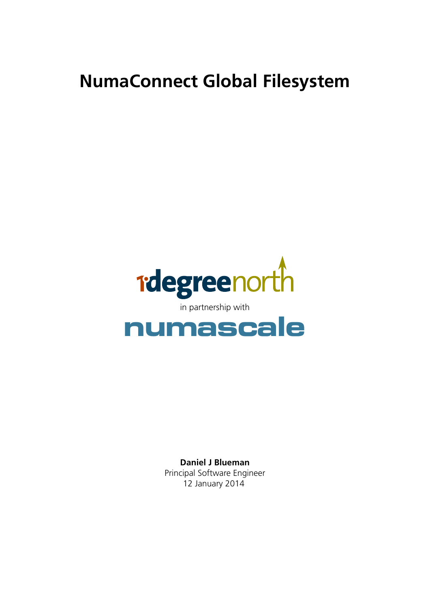# **NumaConnect Global Filesystem**



**Daniel J Blueman** Principal Software Engineer 12 January 2014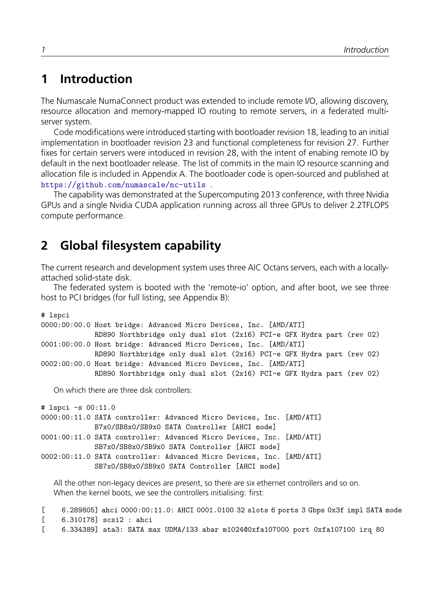## **1 Introduction**

The Numascale NumaConnect product was extended to include remote I/O, allowing discovery, resource allocation and memory-mapped IO routing to remote servers, in a federated multiserver system.

Code modifications were introduced starting with bootloader revision 18, leading to an initial implementation in bootloader revision 23 and functional completeness for revision 27. Further fixes for certain servers were intoduced in revision 28, with the intent of enabing remote IO by default in the next bootloader release. The list of commits in the main IO resource scanning and allocation file is included in Appendix A. The bootloader code is open-sourced and published at https://github.com/numascale/nc-utils .

The capability was demonstrated at the Supercomputing 2013 conference, with three Nvidia GPUs and a single Nvidia CUDA application running across all three GPUs to deliver 2.2TFLOPS [compute performance.](�� h t t p s : / / g i t h u b . c o m / n u m a s c a l e / n c - u t i l s )

## **2 Global filesystem capability**

The current research and development system uses three AIC Octans servers, each with a locallyattached solid-state disk.

The federated system is booted with the 'remote-io' option, and after boot, we see three host to PCI bridges (for full listing, see Appendix B):

# lspci

```
0000:00:00.0 Host bridge: Advanced Micro Devices, Inc. [AMD/ATI]
             RD890 Northbridge only dual slot (2x16) PCI-e GFX Hydra part (rev 02)
0001:00:00.0 Host bridge: Advanced Micro Devices, Inc. [AMD/ATI]
            RD890 Northbridge only dual slot (2x16) PCI-e GFX Hydra part (rev 02)
0002:00:00.0 Host bridge: Advanced Micro Devices, Inc. [AMD/ATI]
             RD890 Northbridge only dual slot (2x16) PCI-e GFX Hydra part (rev 02)
```
On which there are three disk controllers:

```
# lspci -s 00:11.0
0000:00:11.0 SATA controller: Advanced Micro Devices, Inc. [AMD/ATI]
             B7x0/SB8x0/SB9x0 SATA Controller [AHCI mode]
0001:00:11.0 SATA controller: Advanced Micro Devices, Inc. [AMD/ATI]
             SB7x0/SB8x0/SB9x0 SATA Controller [AHCI mode]
0002:00:11.0 SATA controller: Advanced Micro Devices, Inc. [AMD/ATI]
             SB7x0/SB8x0/SB9x0 SATA Controller [AHCI mode]
```
All the other non-legacy devices are present, so there are six ethernet controllers and so on. When the kernel boots, we see the controllers initialising: first:

[ 6.289805] ahci 0000:00:11.0: AHCI 0001.0100 32 slots 6 ports 3 Gbps 0x3f impl SATA mode [ 6.310178] scsi2 : ahci

[ 6.334389] ata3: SATA max UDMA/133 abar m1024@0xfa107000 port 0xfa107100 irq 80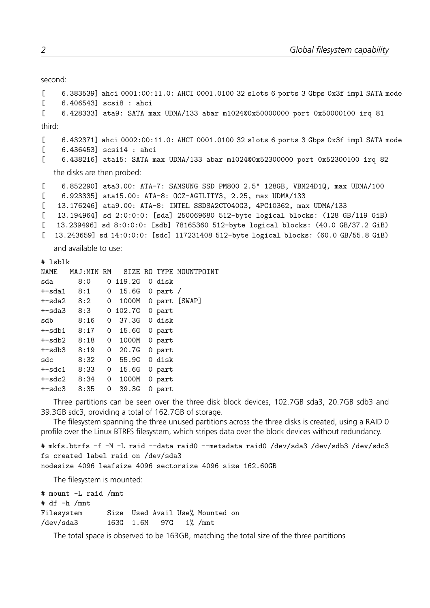```
second:
[ 6.383539] ahci 0001:00:11.0: AHCI 0001.0100 32 slots 6 ports 3 Gbps 0x3f impl SATA mode
[ 6.406543] scsi8 : ahci
[ 6.428333] ata9: SATA max UDMA/133 abar m1024@0x50000000 port 0x50000100 irq 81
third:
[ 6.432371] ahci 0002:00:11.0: AHCI 0001.0100 32 slots 6 ports 3 Gbps 0x3f impl SATA mode
[ 6.436453] scsi14 : ahci
[ 6.438216] ata15: SATA max UDMA/133 abar m1024@0x52300000 port 0x52300100 irq 82
   the disks are then probed:
[ 6.852290] ata3.00: ATA-7: SAMSUNG SSD PM800 2.5" 128GB, VBM24D1Q, max UDMA/100
[ 6.923335] ata15.00: ATA-8: OCZ-AGILITY3, 2.25, max UDMA/133
[ 13.176246] ata9.00: ATA-8: INTEL SSDSA2CT040G3, 4PC10362, max UDMA/133
[ 13.194964] sd 2:0:0:0: [sda] 250069680 512-byte logical blocks: (128 GB/119 GiB)
[ 13.239496] sd 8:0:0:0: [sdb] 78165360 512-byte logical blocks: (40.0 GB/37.2 GiB)
[ 13.243659] sd 14:0:0:0: [sdc] 117231408 512-byte logical blocks: (60.0 GB/55.8 GiB)
   and available to use:
# lsblk
NAME MAJ:MIN RM SIZE RO TYPE MOUNTPOINT
sda 8:0 0 119.2G 0 disk
+-sda1 8:1 0 15.6G 0 part /
+-sda2 8:2 0 1000M 0 part [SWAP]
+-sda3 8:3 0 102.7G 0 part
sdb 8:16 0 37.3G 0 disk
+-sdb1 8:17 0 15.6G 0 part
+-sdb2 8:18 0 1000M 0 part
+-sdb3 8:19 0 20.7G 0 part
sdc 8:32 0 55.9G 0 disk
```
Three partitions can be seen over the three disk block devices, 102.7GB sda3, 20.7GB sdb3 and

The filesystem spanning the three unused partitions across the three disks is created, using a RAID 0 profile over the Linux BTRFS filesystem, which stripes data over the block devices without redundancy.

# mkfs.btrfs -f -M -L raid --data raid0 --metadata raid0 /dev/sda3 /dev/sdb3 /dev/sdc3

```
fs created label raid on /dev/sda3
```
nodesize 4096 leafsize 4096 sectorsize 4096 size 162.60GB

The filesystem is mounted:

+-sdc1 8:33 0 15.6G 0 part +-sdc2 8:34 0 1000M 0 part +-sdc3 8:35 0 39.3G 0 part

| # mount -L raid /mnt |  |  |                                                          |
|----------------------|--|--|----------------------------------------------------------|
|                      |  |  |                                                          |
|                      |  |  |                                                          |
|                      |  |  |                                                          |
|                      |  |  | Size Used Avail Use% Mounted on<br>163G 1.6M 97G 1% /mnt |

39.3GB sdc3, providing a total of 162.7GB of storage.

The total space is observed to be 163GB, matching the total size of the three partitions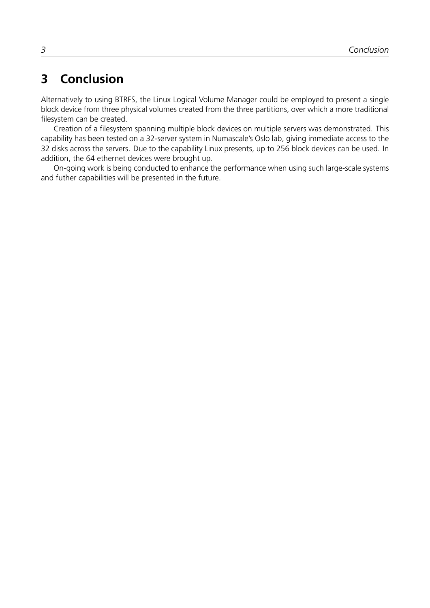# **3 Conclusion**

Alternatively to using BTRFS, the Linux Logical Volume Manager could be employed to present a single block device from three physical volumes created from the three partitions, over which a more traditional filesystem can be created.

Creation of a filesystem spanning multiple block devices on multiple servers was demonstrated. This capability has been tested on a 32-server system in Numascale's Oslo lab, giving immediate access to the 32 disks across the servers. Due to the capability Linux presents, up to 256 block devices can be used. In addition, the 64 ethernet devices were brought up.

On-going work is being conducted to enhance the performance when using such large-scale systems and futher capabilities will be presented in the future.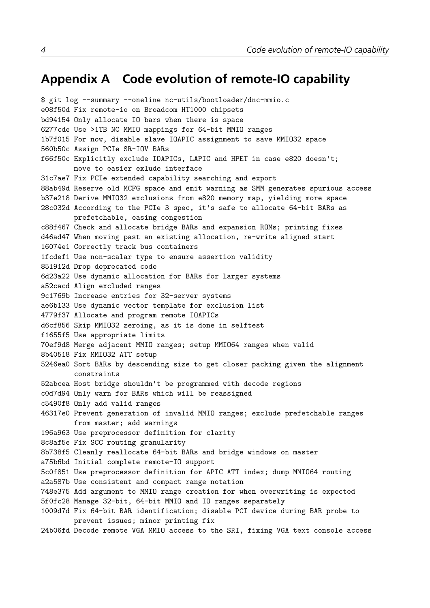### **Appendix A Code evolution of remote-IO capability**

\$ git log --summary --oneline nc-utils/bootloader/dnc-mmio.c e08f50d Fix remote-io on Broadcom HT1000 chipsets bd94154 Only allocate IO bars when there is space 6277cde Use >1TB NC MMIO mappings for 64-bit MMIO ranges 1b7f015 For now, disable slave IOAPIC assignment to save MMIO32 space 560b50c Assign PCIe SR-IOV BARs f66f50c Explicitly exclude IOAPICs, LAPIC and HPET in case e820 doesn't; move to easier exlude interface 31c7ae7 Fix PCIe extended capability searching and export 88ab49d Reserve old MCFG space and emit warning as SMM generates spurious access b37e218 Derive MMIO32 exclusions from e820 memory map, yielding more space 28c032d According to the PCIe 3 spec, it's safe to allocate 64-bit BARs as prefetchable, easing congestion c88f467 Check and allocate bridge BARs and expansion ROMs; printing fixes d46ad47 When moving past an existing allocation, re-write aligned start 16074e1 Correctly track bus containers 1fcdef1 Use non-scalar type to ensure assertion validity 851912d Drop deprecated code 6d23a22 Use dynamic allocation for BARs for larger systems a52cacd Align excluded ranges 9c1769b Increase entries for 32-server systems ae6b133 Use dynamic vector template for exclusion list 4779f37 Allocate and program remote IOAPICs d6cf856 Skip MMIO32 zeroing, as it is done in selftest f1655f5 Use appropriate limits 70ef9d8 Merge adjacent MMIO ranges; setup MMIO64 ranges when valid 8b40518 Fix MMIO32 ATT setup 5246ea0 Sort BARs by descending size to get closer packing given the alignment constraints 52abcea Host bridge shouldn't be programmed with decode regions c0d7d94 Only warn for BARs which will be reassigned c5490f8 Only add valid ranges 46317e0 Prevent generation of invalid MMIO ranges; exclude prefetchable ranges from master; add warnings 196a963 Use preprocessor definition for clarity 8c8af5e Fix SCC routing granularity 8b738f5 Cleanly reallocate 64-bit BARs and bridge windows on master a75b6bd Initial complete remote-IO support 5c0f851 Use preprocessor definition for APIC ATT index; dump MMIO64 routing a2a587b Use consistent and compact range notation 748e375 Add argument to MMIO range creation for when overwriting is expected 5f0fc28 Manage 32-bit, 64-bit MMIO and IO ranges separately 1009d7d Fix 64-bit BAR identification; disable PCI device during BAR probe to prevent issues; minor printing fix 24b06fd Decode remote VGA MMIO access to the SRI, fixing VGA text console access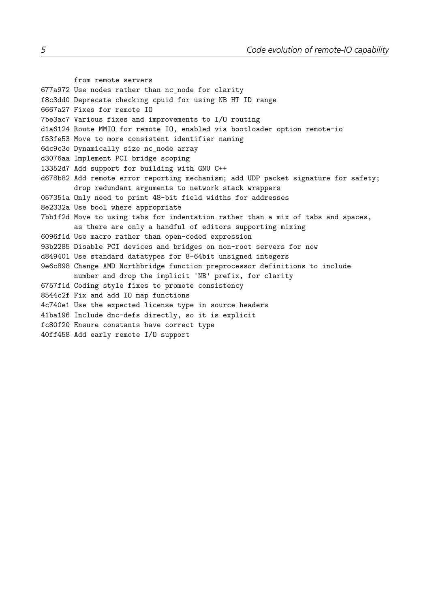from remote servers 677a972 Use nodes rather than nc\_node for clarity f8c3dd0 Deprecate checking cpuid for using NB HT ID range 6667a27 Fixes for remote IO 7be3ac7 Various fixes and improvements to I/O routing d1a6124 Route MMIO for remote IO, enabled via bootloader option remote-io f53fe53 Move to more consistent identifier naming 6dc9c3e Dynamically size nc\_node array d3076aa Implement PCI bridge scoping 13352d7 Add support for building with GNU C++ d678b82 Add remote error reporting mechanism; add UDP packet signature for safety; drop redundant arguments to network stack wrappers 057351a Only need to print 48-bit field widths for addresses 8e2332a Use bool where appropriate 7bb1f2d Move to using tabs for indentation rather than a mix of tabs and spaces, as there are only a handful of editors supporting mixing 6096f1d Use macro rather than open-coded expression 93b2285 Disable PCI devices and bridges on non-root servers for now d849401 Use standard datatypes for 8-64bit unsigned integers 9e6c898 Change AMD Northbridge function preprocessor definitions to include number and drop the implicit 'NB' prefix, for clarity 6757f1d Coding style fixes to promote consistency 8544c2f Fix and add IO map functions 4c740e1 Use the expected license type in source headers 41ba196 Include dnc-defs directly, so it is explicit fc80f20 Ensure constants have correct type 40ff458 Add early remote I/O support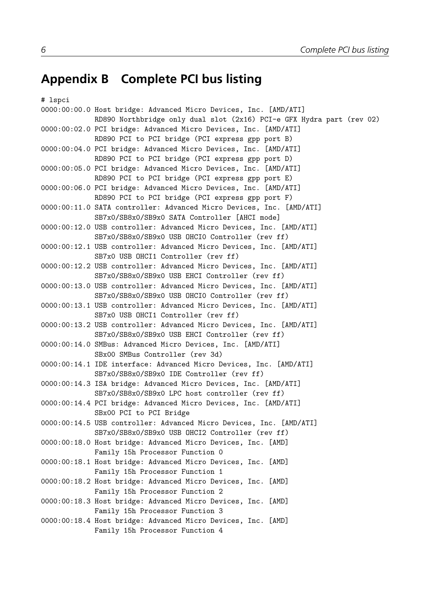### **Appendix B Complete PCI bus listing**

```
# lspci
0000:00:00.0 Host bridge: Advanced Micro Devices, Inc. [AMD/ATI]
             RD890 Northbridge only dual slot (2x16) PCI-e GFX Hydra part (rev 02)
0000:00:02.0 PCI bridge: Advanced Micro Devices, Inc. [AMD/ATI]
             RD890 PCI to PCI bridge (PCI express gpp port B)
0000:00:04.0 PCI bridge: Advanced Micro Devices, Inc. [AMD/ATI]
             RD890 PCI to PCI bridge (PCI express gpp port D)
0000:00:05.0 PCI bridge: Advanced Micro Devices, Inc. [AMD/ATI]
             RD890 PCI to PCI bridge (PCI express gpp port E)
0000:00:06.0 PCI bridge: Advanced Micro Devices, Inc. [AMD/ATI]
             RD890 PCI to PCI bridge (PCI express gpp port F)
0000:00:11.0 SATA controller: Advanced Micro Devices, Inc. [AMD/ATI]
             SB7x0/SB8x0/SB9x0 SATA Controller [AHCI mode]
0000:00:12.0 USB controller: Advanced Micro Devices, Inc. [AMD/ATI]
             SB7x0/SB8x0/SB9x0 USB OHCI0 Controller (rev ff)
0000:00:12.1 USB controller: Advanced Micro Devices, Inc. [AMD/ATI]
             SB7x0 USB OHCI1 Controller (rev ff)
0000:00:12.2 USB controller: Advanced Micro Devices, Inc. [AMD/ATI]
             SB7x0/SB8x0/SB9x0 USB EHCI Controller (rev ff)
0000:00:13.0 USB controller: Advanced Micro Devices, Inc. [AMD/ATI]
             SB7x0/SB8x0/SB9x0 USB OHCI0 Controller (rev ff)
0000:00:13.1 USB controller: Advanced Micro Devices, Inc. [AMD/ATI]
             SB7x0 USB OHCI1 Controller (rev ff)
0000:00:13.2 USB controller: Advanced Micro Devices, Inc. [AMD/ATI]
             SB7x0/SB8x0/SB9x0 USB EHCI Controller (rev ff)
0000:00:14.0 SMBus: Advanced Micro Devices, Inc. [AMD/ATI]
             SBx00 SMBus Controller (rev 3d)
0000:00:14.1 IDE interface: Advanced Micro Devices, Inc. [AMD/ATI]
             SB7x0/SB8x0/SB9x0 IDE Controller (rev ff)
0000:00:14.3 ISA bridge: Advanced Micro Devices, Inc. [AMD/ATI]
             SB7x0/SB8x0/SB9x0 LPC host controller (rev ff)
0000:00:14.4 PCI bridge: Advanced Micro Devices, Inc. [AMD/ATI]
             SBx00 PCI to PCI Bridge
0000:00:14.5 USB controller: Advanced Micro Devices, Inc. [AMD/ATI]
             SB7x0/SB8x0/SB9x0 USB OHCI2 Controller (rev ff)
0000:00:18.0 Host bridge: Advanced Micro Devices, Inc. [AMD]
             Family 15h Processor Function 0
0000:00:18.1 Host bridge: Advanced Micro Devices, Inc. [AMD]
             Family 15h Processor Function 1
0000:00:18.2 Host bridge: Advanced Micro Devices, Inc. [AMD]
             Family 15h Processor Function 2
0000:00:18.3 Host bridge: Advanced Micro Devices, Inc. [AMD]
             Family 15h Processor Function 3
0000:00:18.4 Host bridge: Advanced Micro Devices, Inc. [AMD]
```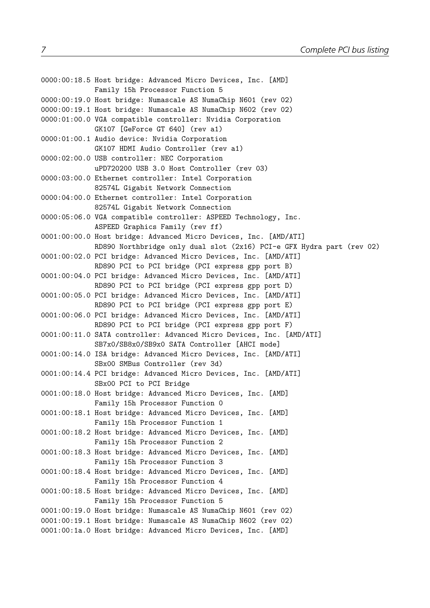```
0000:00:18.5 Host bridge: Advanced Micro Devices, Inc. [AMD]
             Family 15h Processor Function 5
0000:00:19.0 Host bridge: Numascale AS NumaChip N601 (rev 02)
0000:00:19.1 Host bridge: Numascale AS NumaChip N602 (rev 02)
0000:01:00.0 VGA compatible controller: Nvidia Corporation
             GK107 [GeForce GT 640] (rev a1)
0000:01:00.1 Audio device: Nvidia Corporation
             GK107 HDMI Audio Controller (rev a1)
0000:02:00.0 USB controller: NEC Corporation
             uPD720200 USB 3.0 Host Controller (rev 03)
0000:03:00.0 Ethernet controller: Intel Corporation
             82574L Gigabit Network Connection
0000:04:00.0 Ethernet controller: Intel Corporation
             82574L Gigabit Network Connection
0000:05:06.0 VGA compatible controller: ASPEED Technology, Inc.
             ASPEED Graphics Family (rev ff)
0001:00:00.0 Host bridge: Advanced Micro Devices, Inc. [AMD/ATI]
             RD890 Northbridge only dual slot (2x16) PCI-e GFX Hydra part (rev 02)
0001:00:02.0 PCI bridge: Advanced Micro Devices, Inc. [AMD/ATI]
             RD890 PCI to PCI bridge (PCI express gpp port B)
0001:00:04.0 PCI bridge: Advanced Micro Devices, Inc. [AMD/ATI]
             RD890 PCI to PCI bridge (PCI express gpp port D)
0001:00:05.0 PCI bridge: Advanced Micro Devices, Inc. [AMD/ATI]
             RD890 PCI to PCI bridge (PCI express gpp port E)
0001:00:06.0 PCI bridge: Advanced Micro Devices, Inc. [AMD/ATI]
             RD890 PCI to PCI bridge (PCI express gpp port F)
0001:00:11.0 SATA controller: Advanced Micro Devices, Inc. [AMD/ATI]
             SB7x0/SB8x0/SB9x0 SATA Controller [AHCI mode]
0001:00:14.0 ISA bridge: Advanced Micro Devices, Inc. [AMD/ATI]
             SBx00 SMBus Controller (rev 3d)
0001:00:14.4 PCI bridge: Advanced Micro Devices, Inc. [AMD/ATI]
             SBx00 PCI to PCI Bridge
0001:00:18.0 Host bridge: Advanced Micro Devices, Inc. [AMD]
             Family 15h Processor Function 0
0001:00:18.1 Host bridge: Advanced Micro Devices, Inc. [AMD]
             Family 15h Processor Function 1
0001:00:18.2 Host bridge: Advanced Micro Devices, Inc. [AMD]
             Family 15h Processor Function 2
0001:00:18.3 Host bridge: Advanced Micro Devices, Inc. [AMD]
             Family 15h Processor Function 3
0001:00:18.4 Host bridge: Advanced Micro Devices, Inc. [AMD]
             Family 15h Processor Function 4
0001:00:18.5 Host bridge: Advanced Micro Devices, Inc. [AMD]
             Family 15h Processor Function 5
0001:00:19.0 Host bridge: Numascale AS NumaChip N601 (rev 02)
0001:00:19.1 Host bridge: Numascale AS NumaChip N602 (rev 02)
0001:00:1a.0 Host bridge: Advanced Micro Devices, Inc. [AMD]
```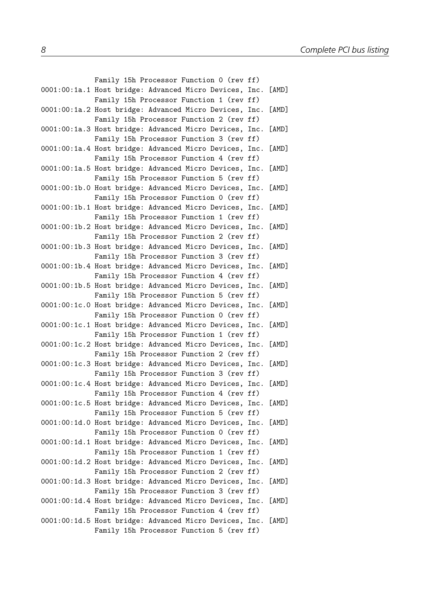| Family 15h Processor Function 0 (rev ff)                     |       |
|--------------------------------------------------------------|-------|
| 0001:00:1a.1 Host bridge: Advanced Micro Devices, Inc. [AMD] |       |
| Family 15h Processor Function 1 (rev ff)                     |       |
| 0001:00:1a.2 Host bridge: Advanced Micro Devices, Inc. [AMD] |       |
| Family 15h Processor Function 2 (rev ff)                     |       |
| 0001:00:1a.3 Host bridge: Advanced Micro Devices, Inc. [AMD] |       |
| Family 15h Processor Function 3 (rev ff)                     |       |
| 0001:00:1a.4 Host bridge: Advanced Micro Devices, Inc.       | [AMD] |
| Family 15h Processor Function 4 (rev ff)                     |       |
| 0001:00:1a.5 Host bridge: Advanced Micro Devices, Inc. [AMD] |       |
| Family 15h Processor Function 5 (rev ff)                     |       |
| 0001:00:1b.0 Host bridge: Advanced Micro Devices, Inc. [AMD] |       |
| Family 15h Processor Function 0 (rev ff)                     |       |
| 0001:00:1b.1 Host bridge: Advanced Micro Devices, Inc. [AMD] |       |
| Family 15h Processor Function 1 (rev ff)                     |       |
| 0001:00:1b.2 Host bridge: Advanced Micro Devices, Inc.       | [AMD] |
| Family 15h Processor Function 2 (rev ff)                     |       |
| 0001:00:1b.3 Host bridge: Advanced Micro Devices, Inc. [AMD] |       |
| Family 15h Processor Function 3 (rev ff)                     |       |
| 0001:00:1b.4 Host bridge: Advanced Micro Devices, Inc. [AMD] |       |
| Family 15h Processor Function 4 (rev ff)                     |       |
| 0001:00:1b.5 Host bridge: Advanced Micro Devices, Inc. [AMD] |       |
| Family 15h Processor Function 5 (rev ff)                     |       |
| 0001:00:1c.0 Host bridge: Advanced Micro Devices, Inc. [AMD] |       |
| Family 15h Processor Function 0 (rev ff)                     |       |
| 0001:00:1c.1 Host bridge: Advanced Micro Devices, Inc. [AMD] |       |
| Family 15h Processor Function 1 (rev ff)                     |       |
| 0001:00:1c.2 Host bridge: Advanced Micro Devices, Inc. [AMD] |       |
| Family 15h Processor Function 2 (rev ff)                     |       |
| 0001:00:1c.3 Host bridge: Advanced Micro Devices, Inc. [AMD] |       |
| Family 15h Processor Function 3 (rev ff)                     |       |
| 0001:00:1c.4 Host bridge: Advanced Micro Devices, Inc. [AMD] |       |
| Family 15h Processor Function 4 (rev ff)                     |       |
| 0001:00:1c.5 Host bridge: Advanced Micro Devices, Inc. [AMD] |       |
| Family 15h Processor Function 5 (rev ff)                     |       |
| 0001:00:1d.0 Host bridge: Advanced Micro Devices, Inc. [AMD] |       |
| Family 15h Processor Function 0 (rev ff)                     |       |
| 0001:00:1d.1 Host bridge: Advanced Micro Devices, Inc.       | [AMD] |
| Family 15h Processor Function 1 (rev ff)                     |       |
| 0001:00:1d.2 Host bridge: Advanced Micro Devices, Inc. [AMD] |       |
| Family 15h Processor Function 2 (rev ff)                     |       |
| 0001:00:1d.3 Host bridge: Advanced Micro Devices, Inc.       | [AMD] |
| Family 15h Processor Function 3 (rev ff)                     |       |
| 0001:00:1d.4 Host bridge: Advanced Micro Devices, Inc. [AMD] |       |
| Family 15h Processor Function 4 (rev ff)                     |       |
| 0001:00:1d.5 Host bridge: Advanced Micro Devices, Inc. [AMD] |       |
| Family 15h Processor Function 5 (rev ff)                     |       |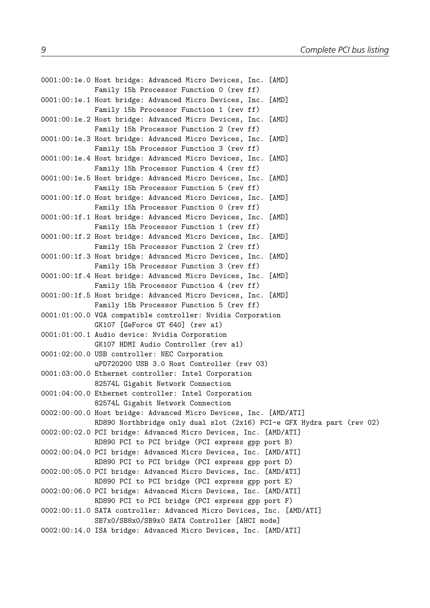```
0001:00:1e.0 Host bridge: Advanced Micro Devices, Inc. [AMD]
             Family 15h Processor Function 0 (rev ff)
0001:00:1e.1 Host bridge: Advanced Micro Devices, Inc. [AMD]
             Family 15h Processor Function 1 (rev ff)
0001:00:1e.2 Host bridge: Advanced Micro Devices, Inc. [AMD]
             Family 15h Processor Function 2 (rev ff)
0001:00:1e.3 Host bridge: Advanced Micro Devices, Inc. [AMD]
             Family 15h Processor Function 3 (rev ff)
0001:00:1e.4 Host bridge: Advanced Micro Devices, Inc. [AMD]
             Family 15h Processor Function 4 (rev ff)
0001:00:1e.5 Host bridge: Advanced Micro Devices, Inc. [AMD]
             Family 15h Processor Function 5 (rev ff)
0001:00:1f.0 Host bridge: Advanced Micro Devices, Inc. [AMD]
             Family 15h Processor Function 0 (rev ff)
0001:00:1f.1 Host bridge: Advanced Micro Devices, Inc. [AMD]
             Family 15h Processor Function 1 (rev ff)
0001:00:1f.2 Host bridge: Advanced Micro Devices, Inc. [AMD]
             Family 15h Processor Function 2 (rev ff)
0001:00:1f.3 Host bridge: Advanced Micro Devices, Inc. [AMD]
             Family 15h Processor Function 3 (rev ff)
0001:00:1f.4 Host bridge: Advanced Micro Devices, Inc. [AMD]
             Family 15h Processor Function 4 (rev ff)
0001:00:1f.5 Host bridge: Advanced Micro Devices, Inc. [AMD]
             Family 15h Processor Function 5 (rev ff)
0001:01:00.0 VGA compatible controller: Nvidia Corporation
             GK107 [GeForce GT 640] (rev a1)
0001:01:00.1 Audio device: Nvidia Corporation
             GK107 HDMI Audio Controller (rev a1)
0001:02:00.0 USB controller: NEC Corporation
             uPD720200 USB 3.0 Host Controller (rev 03)
0001:03:00.0 Ethernet controller: Intel Corporation
             82574L Gigabit Network Connection
0001:04:00.0 Ethernet controller: Intel Corporation
             82574L Gigabit Network Connection
0002:00:00.0 Host bridge: Advanced Micro Devices, Inc. [AMD/ATI]
             RD890 Northbridge only dual slot (2x16) PCI-e GFX Hydra part (rev 02)
0002:00:02.0 PCI bridge: Advanced Micro Devices, Inc. [AMD/ATI]
             RD890 PCI to PCI bridge (PCI express gpp port B)
0002:00:04.0 PCI bridge: Advanced Micro Devices, Inc. [AMD/ATI]
             RD890 PCI to PCI bridge (PCI express gpp port D)
0002:00:05.0 PCI bridge: Advanced Micro Devices, Inc. [AMD/ATI]
             RD890 PCI to PCI bridge (PCI express gpp port E)
0002:00:06.0 PCI bridge: Advanced Micro Devices, Inc. [AMD/ATI]
             RD890 PCI to PCI bridge (PCI express gpp port F)
0002:00:11.0 SATA controller: Advanced Micro Devices, Inc. [AMD/ATI]
             SB7x0/SB8x0/SB9x0 SATA Controller [AHCI mode]
0002:00:14.0 ISA bridge: Advanced Micro Devices, Inc. [AMD/ATI]
```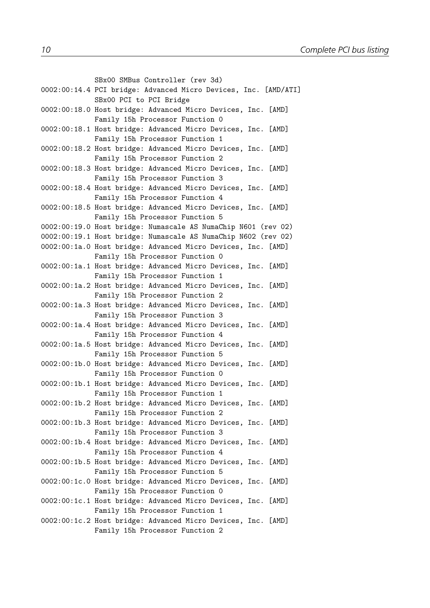```
SBx00 SMBus Controller (rev 3d)
0002:00:14.4 PCI bridge: Advanced Micro Devices, Inc. [AMD/ATI]
             SBx00 PCI to PCI Bridge
0002:00:18.0 Host bridge: Advanced Micro Devices, Inc. [AMD]
             Family 15h Processor Function 0
0002:00:18.1 Host bridge: Advanced Micro Devices, Inc. [AMD]
             Family 15h Processor Function 1
0002:00:18.2 Host bridge: Advanced Micro Devices, Inc. [AMD]
             Family 15h Processor Function 2
0002:00:18.3 Host bridge: Advanced Micro Devices, Inc. [AMD]
             Family 15h Processor Function 3
0002:00:18.4 Host bridge: Advanced Micro Devices, Inc. [AMD]
             Family 15h Processor Function 4
0002:00:18.5 Host bridge: Advanced Micro Devices, Inc. [AMD]
             Family 15h Processor Function 5
0002:00:19.0 Host bridge: Numascale AS NumaChip N601 (rev 02)
0002:00:19.1 Host bridge: Numascale AS NumaChip N602 (rev 02)
0002:00:1a.0 Host bridge: Advanced Micro Devices, Inc. [AMD]
             Family 15h Processor Function 0
0002:00:1a.1 Host bridge: Advanced Micro Devices, Inc. [AMD]
             Family 15h Processor Function 1
0002:00:1a.2 Host bridge: Advanced Micro Devices, Inc. [AMD]
             Family 15h Processor Function 2
0002:00:1a.3 Host bridge: Advanced Micro Devices, Inc. [AMD]
             Family 15h Processor Function 3
0002:00:1a.4 Host bridge: Advanced Micro Devices, Inc. [AMD]
             Family 15h Processor Function 4
0002:00:1a.5 Host bridge: Advanced Micro Devices, Inc. [AMD]
             Family 15h Processor Function 5
0002:00:1b.0 Host bridge: Advanced Micro Devices, Inc. [AMD]
             Family 15h Processor Function 0
0002:00:1b.1 Host bridge: Advanced Micro Devices, Inc. [AMD]
             Family 15h Processor Function 1
0002:00:1b.2 Host bridge: Advanced Micro Devices, Inc. [AMD]
             Family 15h Processor Function 2
0002:00:1b.3 Host bridge: Advanced Micro Devices, Inc. [AMD]
             Family 15h Processor Function 3
0002:00:1b.4 Host bridge: Advanced Micro Devices, Inc. [AMD]
             Family 15h Processor Function 4
0002:00:1b.5 Host bridge: Advanced Micro Devices, Inc. [AMD]
             Family 15h Processor Function 5
0002:00:1c.0 Host bridge: Advanced Micro Devices, Inc. [AMD]
             Family 15h Processor Function 0
0002:00:1c.1 Host bridge: Advanced Micro Devices, Inc. [AMD]
             Family 15h Processor Function 1
0002:00:1c.2 Host bridge: Advanced Micro Devices, Inc. [AMD]
             Family 15h Processor Function 2
```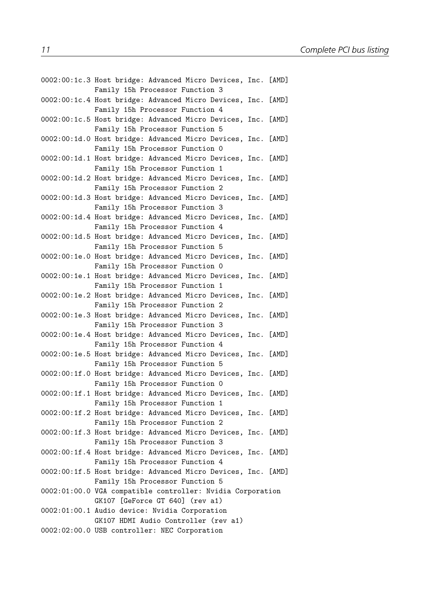| 0002:00:1c.3 Host bridge: Advanced Micro Devices, Inc. [AMD]<br>Family 15h Processor Function 3 |  |
|-------------------------------------------------------------------------------------------------|--|
| 0002:00:1c.4 Host bridge: Advanced Micro Devices, Inc. [AMD]<br>Family 15h Processor Function 4 |  |
| 0002:00:1c.5 Host bridge: Advanced Micro Devices, Inc. [AMD]<br>Family 15h Processor Function 5 |  |
| 0002:00:1d.0 Host bridge: Advanced Micro Devices, Inc. [AMD]<br>Family 15h Processor Function 0 |  |
| 0002:00:1d.1 Host bridge: Advanced Micro Devices, Inc. [AMD]<br>Family 15h Processor Function 1 |  |
| 0002:00:1d.2 Host bridge: Advanced Micro Devices, Inc. [AMD]<br>Family 15h Processor Function 2 |  |
| 0002:00:1d.3 Host bridge: Advanced Micro Devices, Inc. [AMD]<br>Family 15h Processor Function 3 |  |
| 0002:00:1d.4 Host bridge: Advanced Micro Devices, Inc. [AMD]<br>Family 15h Processor Function 4 |  |
| 0002:00:1d.5 Host bridge: Advanced Micro Devices, Inc. [AMD]<br>Family 15h Processor Function 5 |  |
| 0002:00:1e.0 Host bridge: Advanced Micro Devices, Inc. [AMD]<br>Family 15h Processor Function 0 |  |
| 0002:00:1e.1 Host bridge: Advanced Micro Devices, Inc. [AMD]<br>Family 15h Processor Function 1 |  |
| 0002:00:1e.2 Host bridge: Advanced Micro Devices, Inc. [AMD]                                    |  |
| Family 15h Processor Function 2<br>0002:00:1e.3 Host bridge: Advanced Micro Devices, Inc. [AMD] |  |
| Family 15h Processor Function 3<br>0002:00:1e.4 Host bridge: Advanced Micro Devices, Inc. [AMD] |  |
| Family 15h Processor Function 4<br>0002:00:1e.5 Host bridge: Advanced Micro Devices, Inc. [AMD] |  |
| Family 15h Processor Function 5<br>0002:00:1f.0 Host bridge: Advanced Micro Devices, Inc. [AMD] |  |
| Family 15h Processor Function 0<br>0002:00:1f.1 Host bridge: Advanced Micro Devices, Inc. [AMD] |  |
| Family 15h Processor Function 1<br>0002:00:1f.2 Host bridge: Advanced Micro Devices, Inc. [AMD] |  |
| Family 15h Processor Function 2<br>0002:00:1f.3 Host bridge: Advanced Micro Devices, Inc. [AMD] |  |
| Family 15h Processor Function 3<br>0002:00:1f.4 Host bridge: Advanced Micro Devices, Inc. [AMD] |  |
| Family 15h Processor Function 4<br>0002:00:1f.5 Host bridge: Advanced Micro Devices, Inc. [AMD] |  |
| Family 15h Processor Function 5<br>0002:01:00.0 VGA compatible controller: Nvidia Corporation   |  |
| GK107 [GeForce GT 640] (rev a1)<br>0002:01:00.1 Audio device: Nvidia Corporation                |  |
| GK107 HDMI Audio Controller (rev a1)<br>0002:02:00.0 USB controller: NEC Corporation            |  |